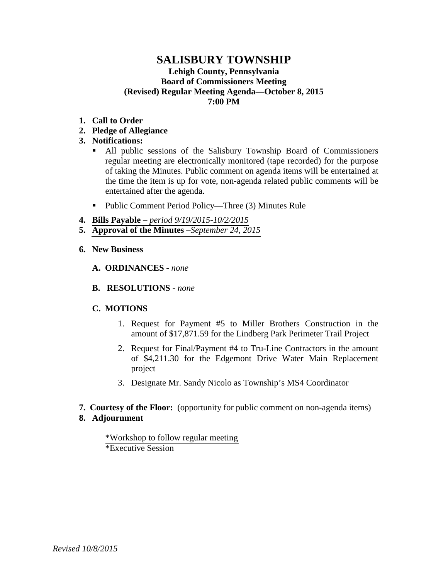### **SALISBURY TOWNSHIP Lehigh County, Pennsylvania Board of Commissioners Meeting (Revised) Regular Meeting Agenda—October 8, 2015 7:00 PM**

- **1. Call to Order**
- **2. Pledge of Allegiance**
- **3. Notifications:**
	- All public sessions of the Salisbury Township Board of Commissioners regular meeting are electronically monitored (tape recorded) for the purpose of taking the Minutes. Public comment on agenda items will be entertained at the time the item is up for vote, non-agenda related public comments will be entertained after the agenda.
	- Public Comment Period Policy—Three (3) Minutes Rule
- **4. Bills Payable**  *[period 9/19/2015-10/2/2015](#page-1-0)*
- **5. [Approval of the Minutes](#page-11-0)** –*September 24, 2015*
- **6. New Business**
	- **A. ORDINANCES**  *none*
	- **B. RESOLUTIONS** *none*

### **C. MOTIONS**

- 1. Request for Payment #5 to Miller Brothers Construction in the amount of \$17,871.59 for the Lindberg Park Perimeter Trail Project
- 2. Request for Final/Payment #4 to Tru-Line Contractors in the amount of \$4,211.30 for the Edgemont Drive Water Main Replacement project
- 3. Designate Mr. Sandy Nicolo as Township's MS4 Coordinator
- **7. Courtesy of the Floor:** (opportunity for public comment on non-agenda items) **8. Adjournment**
	- [\\*Workshop to follow regular meeting](#page-18-0)  \*Executive Session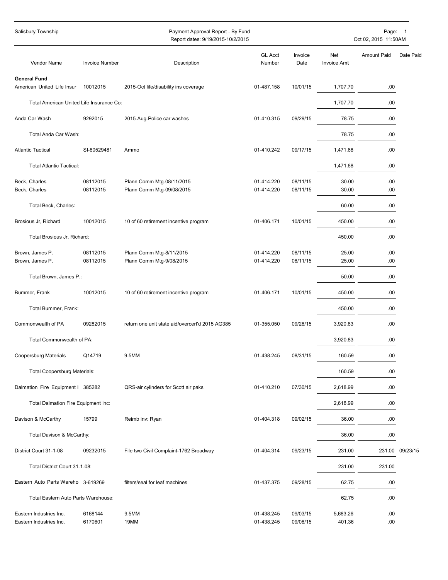<span id="page-1-0"></span>

| Salisbury Township                                 |                       | Payment Approval Report - By Fund<br>Report dates: 9/19/2015-10/2/2015 |                          |                      | Page: 1<br>Oct 02, 2015 11:50AM |                    |                 |
|----------------------------------------------------|-----------------------|------------------------------------------------------------------------|--------------------------|----------------------|---------------------------------|--------------------|-----------------|
| Vendor Name                                        | <b>Invoice Number</b> | Description                                                            | <b>GL Acct</b><br>Number | Invoice<br>Date      | Net<br>Invoice Amt              | <b>Amount Paid</b> | Date Paid       |
| <b>General Fund</b><br>American United Life Insur  | 10012015              | 2015-Oct life/disability ins coverage                                  | 01-487.158               | 10/01/15             | 1,707.70                        | .00                |                 |
| Total American United Life Insurance Co:           |                       |                                                                        |                          |                      | 1,707.70                        | .00                |                 |
| Anda Car Wash                                      | 9292015               | 2015-Aug-Police car washes                                             | 01-410.315               | 09/29/15             | 78.75                           | .00                |                 |
| Total Anda Car Wash:                               |                       |                                                                        |                          |                      | 78.75                           | .00                |                 |
| <b>Atlantic Tactical</b>                           | SI-80529481           | Ammo                                                                   | 01-410.242               | 09/17/15             | 1,471.68                        | .00                |                 |
| <b>Total Atlantic Tactical:</b>                    |                       |                                                                        |                          |                      | 1,471.68                        | .00                |                 |
| Beck, Charles<br>Beck, Charles                     | 08112015<br>08112015  | Plann Comm Mtg-08/11/2015<br>Plann Comm Mtg-09/08/2015                 | 01-414.220<br>01-414.220 | 08/11/15<br>08/11/15 | 30.00<br>30.00                  | .00<br>.00         |                 |
| Total Beck, Charles:                               |                       |                                                                        |                          |                      | 60.00                           | .00                |                 |
| Brosious Jr, Richard                               | 10012015              | 10 of 60 retirement incentive program                                  | 01-406.171               | 10/01/15             | 450.00                          | .00                |                 |
| Total Brosious Jr, Richard:                        |                       |                                                                        |                          |                      | 450.00                          | .00                |                 |
| Brown, James P.<br>Brown, James P.                 | 08112015<br>08112015  | Plann Comm Mtg-8/11/2015<br>Plann Comm Mtg-9/08/2015                   | 01-414.220<br>01-414.220 | 08/11/15<br>08/11/15 | 25.00<br>25.00                  | .00<br>.00         |                 |
| Total Brown, James P.:                             |                       |                                                                        |                          |                      | 50.00                           | .00                |                 |
| Bummer, Frank                                      | 10012015              | 10 of 60 retirement incentive program                                  | 01-406.171               | 10/01/15             | 450.00                          | .00                |                 |
| Total Bummer, Frank:                               |                       |                                                                        |                          |                      | 450.00                          | .00                |                 |
| Commonwealth of PA                                 | 09282015              | return one unit state aid/overcert'd 2015 AG385                        | 01-355.050               | 09/28/15             | 3,920.83                        | .00                |                 |
| Total Commonwealth of PA:                          |                       |                                                                        |                          |                      | 3,920.83                        | .00                |                 |
| Coopersburg Materials                              | Q14719                | 9.5MM                                                                  | 01-438.245               | 08/31/15             | 160.59                          | .00                |                 |
| <b>Total Coopersburg Materials:</b>                |                       |                                                                        |                          |                      | 160.59                          | .00                |                 |
| Dalmation Fire Equipment I 385282                  |                       | QRS-air cylinders for Scott air paks                                   | 01-410.210               | 07/30/15             | 2,618.99                        | .00                |                 |
| Total Dalmation Fire Equipment Inc:                |                       |                                                                        |                          |                      | 2,618.99                        | .00                |                 |
| Davison & McCarthy                                 | 15799                 | Reimb inv: Ryan                                                        | 01-404.318               | 09/02/15             | 36.00                           | .00                |                 |
| Total Davison & McCarthy:                          |                       |                                                                        |                          |                      | 36.00                           | .00                |                 |
| District Court 31-1-08                             | 09232015              | File two Civil Complaint-1762 Broadway                                 | 01-404.314               | 09/23/15             | 231.00                          |                    | 231.00 09/23/15 |
| Total District Court 31-1-08:                      |                       |                                                                        |                          |                      | 231.00                          | 231.00             |                 |
| Eastern Auto Parts Wareho 3-619269                 |                       | filters/seal for leaf machines                                         | 01-437.375               | 09/28/15             | 62.75                           | .00                |                 |
| Total Eastern Auto Parts Warehouse:                |                       |                                                                        |                          |                      | 62.75                           | .00                |                 |
| Eastern Industries Inc.<br>Eastern Industries Inc. | 6168144<br>6170601    | 9.5MM<br>19MM                                                          | 01-438.245<br>01-438.245 | 09/03/15<br>09/08/15 | 5,683.26<br>401.36              | .00<br>.00         |                 |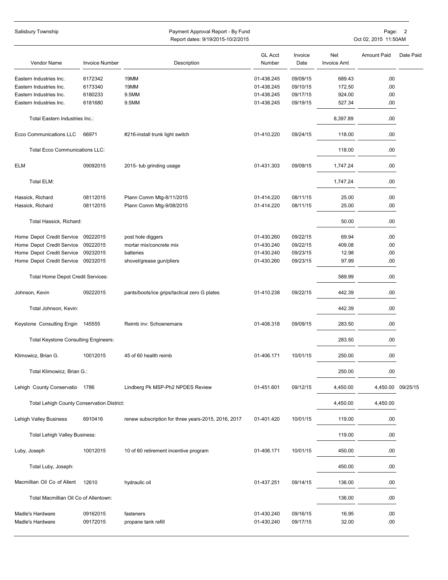| Salisbury Township                          |                       | Payment Approval Report - By Fund<br>Oct 02, 2015 11:50AM<br>Report dates: 9/19/2015-10/2/2015 |                          |                 |                           |                    | Page:<br>$\overline{\phantom{a}}$ |  |
|---------------------------------------------|-----------------------|------------------------------------------------------------------------------------------------|--------------------------|-----------------|---------------------------|--------------------|-----------------------------------|--|
|                                             |                       |                                                                                                |                          |                 |                           |                    |                                   |  |
| Vendor Name                                 | <b>Invoice Number</b> | Description                                                                                    | <b>GL Acct</b><br>Number | Invoice<br>Date | Net<br><b>Invoice Amt</b> | <b>Amount Paid</b> | Date Paid                         |  |
| Eastern Industries Inc.                     | 6172342               | 19MM                                                                                           | 01-438.245               | 09/09/15        | 689.43                    | .00                |                                   |  |
| Eastern Industries Inc.                     | 6173340               | 19MM                                                                                           | 01-438.245               | 09/10/15        | 172.50                    | .00                |                                   |  |
| Eastern Industries Inc.                     | 6180233               | 9.5MM                                                                                          | 01-438.245               | 09/17/15        | 924.00                    | .00                |                                   |  |
| Eastern Industries Inc.                     | 6181680               | 9.5MM                                                                                          | 01-438.245               | 09/19/15        | 527.34                    | .00.               |                                   |  |
| Total Eastern Industries Inc.:              |                       |                                                                                                |                          |                 | 8,397.89                  | .00                |                                   |  |
| Ecco Communications LLC                     | 66971                 | #216-install trunk light switch                                                                | 01-410.220               | 09/24/15        | 118.00                    | .00.               |                                   |  |
| <b>Total Ecco Communications LLC:</b>       |                       |                                                                                                |                          |                 | 118.00                    | .00.               |                                   |  |
| <b>ELM</b>                                  | 09092015              | 2015- tub grinding usage                                                                       | 01-431.303               | 09/09/15        | 1,747.24                  | .00.               |                                   |  |
| Total ELM:                                  |                       |                                                                                                |                          |                 | 1,747.24                  | .00.               |                                   |  |
| Hassick, Richard                            | 08112015              | Plann Comm Mtg-8/11/2015                                                                       | 01-414.220               | 08/11/15        | 25.00                     | .00.               |                                   |  |
| Hassick, Richard                            | 08112015              | Plann Comm Mtg-9/08/2015                                                                       | 01-414.220               | 08/11/15        | 25.00                     | .00                |                                   |  |
| Total Hassick, Richard:                     |                       |                                                                                                |                          |                 | 50.00                     | .00.               |                                   |  |
| Home Depot Credit Service                   | 09222015              | post hole diggers                                                                              | 01-430.260               | 09/22/15        | 69.94                     | .00.               |                                   |  |
| Home Depot Credit Service 09222015          |                       | mortar mix/concrete mix                                                                        | 01-430.240               | 09/22/15        | 409.08                    | .00                |                                   |  |
| Home Depot Credit Service                   | 09232015              | batteries                                                                                      | 01-430.240               | 09/23/15        | 12.98                     | .00                |                                   |  |
| Home Depot Credit Service                   | 09232015              | shovel/grease gun/pliers                                                                       | 01-430.260               | 09/23/15        | 97.99                     | .00                |                                   |  |
| Total Home Depot Credit Services:           |                       |                                                                                                |                          |                 | 589.99                    | .00                |                                   |  |
| Johnson, Kevin                              | 09222015              | pants/boots/ice grips/tactical zero G plates                                                   | 01-410.238               | 09/22/15        | 442.39                    | .00.               |                                   |  |
| Total Johnson, Kevin:                       |                       |                                                                                                |                          |                 | 442.39                    | .00.               |                                   |  |
| Keystone Consulting Engin 145555            |                       | Reimb inv: Schoenemans                                                                         | 01-408.318               | 09/09/15        | 283.50                    | .00.               |                                   |  |
| <b>Total Keystone Consulting Engineers:</b> |                       |                                                                                                |                          |                 | 283.50                    | .00.               |                                   |  |
| Klimowicz, Brian G.                         | 10012015              | 45 of 60 health reimb                                                                          | 01-406.171               | 10/01/15        | 250.00                    | .00                |                                   |  |
| Total Klimowicz, Brian G.:                  |                       |                                                                                                |                          |                 | 250.00                    | .00.               |                                   |  |
| Lehigh County Conservatio 1786              |                       | Lindberg Pk MSP-Ph2 NPDES Review                                                               | 01-451.601               | 09/12/15        | 4,450.00                  |                    | 4,450.00 09/25/15                 |  |
| Total Lehigh County Conservation District:  |                       |                                                                                                |                          |                 | 4,450.00                  | 4,450.00           |                                   |  |
| Lehigh Valley Business                      | 6910416               | renew subscription for three years-2015, 2016, 2017                                            | 01-401.420               | 10/01/15        | 119.00                    | .00                |                                   |  |
| <b>Total Lehigh Valley Business:</b>        |                       |                                                                                                |                          |                 | 119.00                    | .00                |                                   |  |
| Luby, Joseph                                | 10012015              | 10 of 60 retirement incentive program                                                          | 01-406.171               | 10/01/15        | 450.00                    | .00.               |                                   |  |
| Total Luby, Joseph:                         |                       |                                                                                                |                          |                 | 450.00                    | .00.               |                                   |  |
| Macmillian Oil Co of Allent                 | 12610                 | hydraulic oil                                                                                  | 01-437.251               | 09/14/15        | 136.00                    | .00.               |                                   |  |
| Total Macmillian Oil Co of Allentown:       |                       |                                                                                                |                          |                 | 136.00                    | .00.               |                                   |  |
| Madle's Hardware                            | 09162015              | fasteners                                                                                      | 01-430.240               | 09/16/15        | 16.95                     | .00.               |                                   |  |
| Madle's Hardware                            | 09172015              | propane tank refill                                                                            | 01-430.240               | 09/17/15        | 32.00                     | .00                |                                   |  |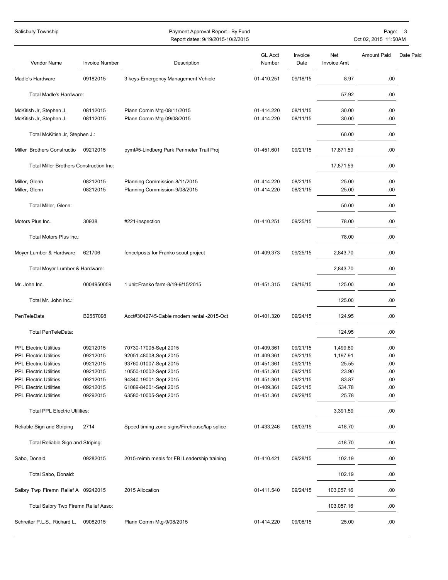| Salisbury Township                                             |                       | Payment Approval Report - By Fund<br>Report dates: 9/19/2015-10/2/2015 |                          |                      |                    | Page:<br>Oct 02, 2015 11:50AM | 3         |
|----------------------------------------------------------------|-----------------------|------------------------------------------------------------------------|--------------------------|----------------------|--------------------|-------------------------------|-----------|
|                                                                |                       |                                                                        | <b>GL Acct</b>           | Invoice              | Net                | <b>Amount Paid</b>            | Date Paid |
| Vendor Name                                                    | <b>Invoice Number</b> | Description                                                            | Number                   | Date                 | <b>Invoice Amt</b> |                               |           |
| Madle's Hardware                                               | 09182015              | 3 keys-Emergency Management Vehicle                                    | 01-410.251               | 09/18/15             | 8.97               | .00                           |           |
| Total Madle's Hardware:                                        |                       |                                                                        |                          |                      | 57.92              | .00                           |           |
| McKitish Jr, Stephen J.                                        | 08112015              | Plann Comm Mtg-08/11/2015                                              | 01-414.220               | 08/11/15             | 30.00              | .00                           |           |
| McKitish Jr, Stephen J.                                        | 08112015              | Plann Comm Mtg-09/08/2015                                              | 01-414.220               | 08/11/15             | 30.00              | .00                           |           |
| Total McKitish Jr, Stephen J.:                                 |                       |                                                                        |                          |                      | 60.00              | .00                           |           |
| Miller Brothers Constructio                                    | 09212015              | pymt#5-Lindberg Park Perimeter Trail Proj                              | 01-451.601               | 09/21/15             | 17,871.59          | .00                           |           |
| Total Miller Brothers Construction Inc:                        |                       |                                                                        |                          |                      | 17,871.59          | .00                           |           |
| Miller, Glenn                                                  | 08212015              | Planning Commission-8/11/2015                                          | 01-414.220               | 08/21/15             | 25.00              | .00                           |           |
| Miller, Glenn                                                  | 08212015              | Planning Commission-9/08/2015                                          | 01-414.220               | 08/21/15             | 25.00              | .00                           |           |
| Total Miller, Glenn:                                           |                       |                                                                        |                          |                      | 50.00              | .00                           |           |
| Motors Plus Inc.                                               | 30938                 | #221-inspection                                                        | 01-410.251               | 09/25/15             | 78.00              | .00                           |           |
| Total Motors Plus Inc.:                                        |                       |                                                                        |                          |                      | 78.00              | .00                           |           |
| Moyer Lumber & Hardware                                        | 621706                | fence/posts for Franko scout project                                   | 01-409.373               | 09/25/15             | 2,843.70           | .00                           |           |
| Total Moyer Lumber & Hardware:                                 |                       |                                                                        |                          |                      | 2,843.70           | .00                           |           |
| Mr. John Inc.                                                  | 0004950059            | 1 unit:Franko farm-8/19-9/15/2015                                      | 01-451.315               | 09/16/15             | 125.00             | .00                           |           |
| Total Mr. John Inc.:                                           |                       |                                                                        |                          |                      | 125.00             | .00                           |           |
| PenTeleData                                                    | B2557098              | Acct#3042745-Cable modem rental -2015-Oct                              | 01-401.320               | 09/24/15             | 124.95             | .00                           |           |
| Total PenTeleData:                                             |                       |                                                                        |                          |                      | 124.95             | .00                           |           |
|                                                                |                       |                                                                        |                          |                      |                    |                               |           |
| <b>PPL Electric Utilities</b>                                  | 09212015              | 70730-17005-Sept 2015                                                  | 01-409.361               | 09/21/15             | 1,499.80           | .00                           |           |
| <b>PPL Electric Utilities</b><br><b>PPL Electric Utilities</b> | 09212015              | 92051-48008-Sept 2015                                                  | 01-409.361               | 09/21/15             | 1,197.91           | .00                           |           |
|                                                                | 09212015              | 93760-01007-Sept 2015                                                  | 01-451.361               | 09/21/15             | 25.55              | .00                           |           |
| <b>PPL Electric Utilities</b>                                  | 09212015              | 10550-10002-Sept 2015                                                  | 01-451.361               | 09/21/15<br>09/21/15 | 23.90              | .00<br>.00                    |           |
| <b>PPL Electric Utilities</b>                                  | 09212015              | 94340-19001-Sept 2015                                                  | 01-451.361               |                      | 83.87              |                               |           |
| <b>PPL Electric Utilities</b><br><b>PPL Electric Utilities</b> | 09212015<br>09292015  | 61089-84001-Sept 2015<br>63580-10005-Sept 2015                         | 01-409.361<br>01-451.361 | 09/21/15<br>09/29/15 | 534.78<br>25.78    | .00<br>.00                    |           |
| <b>Total PPL Electric Utilities:</b>                           |                       |                                                                        |                          |                      | 3,391.59           | .00                           |           |
| Reliable Sign and Striping                                     | 2714                  | Speed timing zone signs/Firehouse/lap splice                           | 01-433.246               | 08/03/15             | 418.70             | .00                           |           |
| Total Reliable Sign and Striping:                              |                       |                                                                        |                          |                      | 418.70             | .00                           |           |
| Sabo, Donald                                                   | 09282015              | 2015-reimb meals for FBI Leadership training                           | 01-410.421               | 09/28/15             | 102.19             | .00                           |           |
| Total Sabo, Donald:                                            |                       |                                                                        |                          |                      | 102.19             | .00                           |           |
| Salbry Twp Firemn Relief A 09242015                            |                       | 2015 Allocation                                                        | 01-411.540               | 09/24/15             | 103,057.16         | .00.                          |           |
| Total Salbry Twp Firemn Relief Asso:                           |                       |                                                                        |                          |                      | 103,057.16         | .00                           |           |
|                                                                |                       |                                                                        |                          |                      |                    |                               |           |
| Schreiter P.L.S., Richard L.                                   | 09082015              | Plann Comm Mtg-9/08/2015                                               | 01-414.220               | 09/08/15             | 25.00              | .00.                          |           |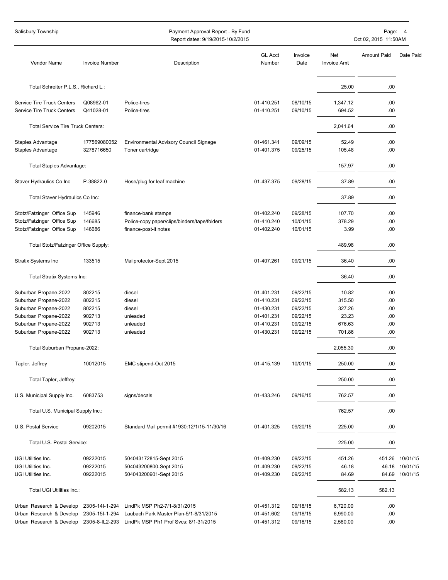#### Salisbury Township **Payment Approval Report - By Fund** Page: 4 Approval Report - By Fund Page: 4 Approval Report - By Fund Page: 4 Approval Report - By Fund Page: 4 Approval Report - By Fund Page: 4 Approval Report - By Fu

Report dates: 9/19/2015-10/2/2015 Oct 02, 2015 11:50AM

| Vendor Name                                              | <b>Invoice Number</b>      | Description                                               | <b>GL Acct</b><br>Number | Invoice<br>Date      | Net<br><b>Invoice Amt</b> | <b>Amount Paid</b> | Date Paid |
|----------------------------------------------------------|----------------------------|-----------------------------------------------------------|--------------------------|----------------------|---------------------------|--------------------|-----------|
|                                                          |                            |                                                           |                          |                      |                           |                    |           |
| Total Schreiter P.L.S., Richard L.:                      |                            |                                                           |                          |                      | 25.00                     | .00                |           |
| Service Tire Truck Centers<br>Service Tire Truck Centers | Q08962-01<br>Q41028-01     | Police-tires<br>Police-tires                              | 01-410.251<br>01-410.251 | 08/10/15<br>09/10/15 | 1,347.12<br>694.52        | .00<br>.00         |           |
| <b>Total Service Tire Truck Centers:</b>                 |                            |                                                           |                          |                      | 2,041.64                  | .00                |           |
| Staples Advantage<br>Staples Advantage                   | 177569080052<br>3278716650 | Environmental Advisory Council Signage<br>Toner cartridge | 01-461.341<br>01-401.375 | 09/09/15<br>09/25/15 | 52.49<br>105.48           | .00<br>.00         |           |
| Total Staples Advantage:                                 |                            |                                                           |                          |                      | 157.97                    | .00                |           |
| Staver Hydraulics Co Inc                                 | P-38822-0                  | Hose/plug for leaf machine                                | 01-437.375               | 09/28/15             | 37.89                     | .00                |           |
| Total Staver Hydraulics Co Inc:                          |                            |                                                           |                          |                      | 37.89                     | .00                |           |
| Stotz/Fatzinger Office Sup                               | 145946                     | finance-bank stamps                                       | 01-402.240               | 09/28/15             | 107.70                    | .00                |           |
| Stotz/Fatzinger Office Sup                               | 146685                     | Police-copy paper/clips/binders/tape/folders              | 01-410.240               | 10/01/15             | 378.29                    | .00                |           |
| Stotz/Fatzinger Office Sup                               | 146686                     | finance-post-it notes                                     | 01-402.240               | 10/01/15             | 3.99                      | .00                |           |
| Total Stotz/Fatzinger Office Supply:                     |                            |                                                           |                          |                      | 489.98                    | .00                |           |
| <b>Stratix Systems Inc</b>                               | 133515                     | Mailprotector-Sept 2015                                   | 01-407.261               | 09/21/15             | 36.40                     | .00                |           |
| Total Stratix Systems Inc:                               |                            |                                                           |                          |                      | 36.40                     | .00                |           |
| Suburban Propane-2022                                    | 802215                     | diesel                                                    | 01-401.231               | 09/22/15             | 10.82                     | .00                |           |
| Suburban Propane-2022                                    | 802215                     | diesel                                                    | 01-410.231               | 09/22/15             | 315.50                    | .00                |           |
| Suburban Propane-2022                                    | 802215                     | diesel                                                    | 01-430.231               | 09/22/15             | 327.26                    | .00                |           |
| Suburban Propane-2022                                    | 902713                     | unleaded                                                  | 01-401.231               | 09/22/15             | 23.23                     | .00                |           |
| Suburban Propane-2022                                    | 902713                     | unleaded                                                  | 01-410.231               | 09/22/15             | 676.63                    | .00                |           |
| Suburban Propane-2022                                    | 902713                     | unleaded                                                  | 01-430.231               | 09/22/15             | 701.86                    | .00                |           |
| Total Suburban Propane-2022:                             |                            |                                                           |                          |                      | 2.055.30                  | .00                |           |
| Tapler, Jeffrey                                          | 10012015                   | EMC stipend-Oct 2015                                      | 01-415.139               | 10/01/15             | 250.00                    | .00                |           |
| Total Tapler, Jeffrey:                                   |                            |                                                           |                          |                      | 250.00                    | .00                |           |
| U.S. Municipal Supply Inc.                               | 6083753                    | signs/decals                                              | 01-433.246               | 09/16/15             | 762.57                    | .00.               |           |
| Total U.S. Municipal Supply Inc.:                        |                            |                                                           |                          |                      | 762.57                    | .00                |           |
| U.S. Postal Service                                      | 09202015                   | Standard Mail permit #1930:12/1/15-11/30/16               | 01-401.325               | 09/20/15             | 225.00                    | .00.               |           |
| Total U.S. Postal Service:                               |                            |                                                           |                          |                      | 225.00                    | .00                |           |
| UGI Utilities Inc.                                       | 09222015                   | 504043172815-Sept 2015                                    | 01-409.230               | 09/22/15             | 451.26                    | 451.26             | 10/01/15  |
| UGI Utilities Inc.                                       | 09222015                   | 504043200800-Sept 2015                                    | 01-409.230               | 09/22/15             | 46.18                     | 46.18              | 10/01/15  |
| UGI Utilities Inc.                                       | 09222015                   | 504043200901-Sept 2015                                    | 01-409.230               | 09/22/15             | 84.69                     | 84.69              | 10/01/15  |
| Total UGI Utilities Inc.:                                |                            |                                                           |                          |                      | 582.13                    | 582.13             |           |
| Urban Research & Develop                                 | 2305-14l-1-294             | LindPk MSP Ph2-7/1-8/31/2015                              | 01-451.312               | 09/18/15             | 6,720.00                  | .00                |           |
| Urban Research & Develop                                 | 2305-15I-1-294             | Laubach Park Master Plan-5/1-8/31/2015                    | 01-451.602               | 09/18/15             | 6,990.00                  | .00                |           |
| Urban Research & Develop 2305-8-IL2-293                  |                            | LindPk MSP Ph1 Prof Svcs: 8/1-31/2015                     | 01-451.312               | 09/18/15             | 2,580.00                  | .00                |           |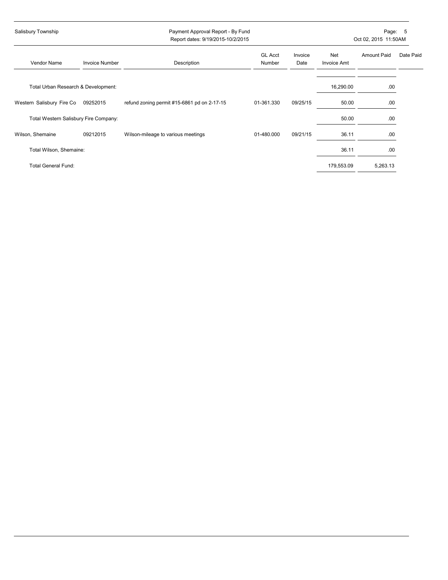| Salisbury Township                    |                       | Payment Approval Report - By Fund<br>Report dates: 9/19/2015-10/2/2015 |                          |                 | Page:<br>5<br>Oct 02, 2015 11:50AM |                    |           |  |
|---------------------------------------|-----------------------|------------------------------------------------------------------------|--------------------------|-----------------|------------------------------------|--------------------|-----------|--|
| Vendor Name                           | <b>Invoice Number</b> | Description                                                            | <b>GL Acct</b><br>Number | Invoice<br>Date | Net<br>Invoice Amt                 | <b>Amount Paid</b> | Date Paid |  |
| Total Urban Research & Development:   |                       |                                                                        |                          |                 | 16,290.00                          | .00                |           |  |
| Western Salisbury Fire Co             | 09252015              | refund zoning permit #15-6861 pd on 2-17-15                            | 01-361.330               | 09/25/15        | 50.00                              | .00                |           |  |
| Total Western Salisbury Fire Company: |                       |                                                                        |                          |                 | 50.00                              | .00                |           |  |
| Wilson, Shemaine                      | 09212015              | Wilson-mileage to various meetings                                     | 01-480.000               | 09/21/15        | 36.11                              | .00                |           |  |
| Total Wilson, Shemaine:               |                       |                                                                        |                          |                 | 36.11                              | .00                |           |  |
| <b>Total General Fund:</b>            |                       |                                                                        |                          |                 | 179,553.09                         | 5,263.13           |           |  |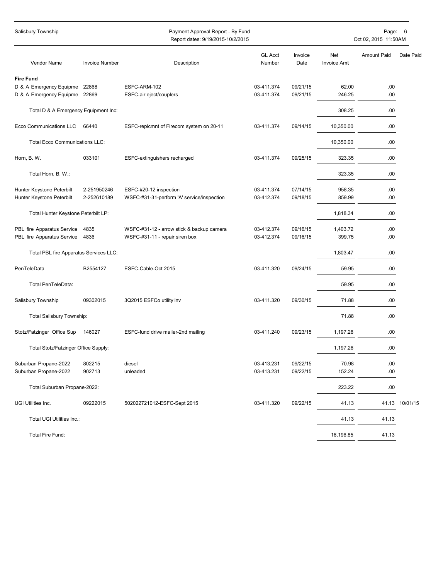| Salisbury Township<br>Payment Approval Report - By Fund<br>Report dates: 9/19/2015-10/2/2015 |                                            |                          | Page:<br>6<br>Oct 02, 2015 11:50AM |                           |                    |           |
|----------------------------------------------------------------------------------------------|--------------------------------------------|--------------------------|------------------------------------|---------------------------|--------------------|-----------|
| Vendor Name<br><b>Invoice Number</b>                                                         | Description                                | <b>GL Acct</b><br>Number | Invoice<br>Date                    | Net<br><b>Invoice Amt</b> | <b>Amount Paid</b> | Date Paid |
| <b>Fire Fund</b>                                                                             |                                            |                          |                                    |                           |                    |           |
| D & A Emergency Equipme<br>22868                                                             | ESFC-ARM-102                               | 03-411.374               | 09/21/15                           | 62.00                     | .00                |           |
| D & A Emergency Equipme 22869                                                                | ESFC-air eject/couplers                    | 03-411.374               | 09/21/15                           | 246.25                    | .00                |           |
| Total D & A Emergency Equipment Inc:                                                         |                                            |                          |                                    | 308.25                    | .00                |           |
| Ecco Communications LLC<br>66440                                                             | ESFC-replcmnt of Firecom system on 20-11   | 03-411.374               | 09/14/15                           | 10,350.00                 | .00                |           |
| <b>Total Ecco Communications LLC:</b>                                                        |                                            |                          |                                    | 10,350.00                 | .00                |           |
| Horn, B. W.<br>033101                                                                        | ESFC-extinguishers recharged               | 03-411.374               | 09/25/15                           | 323.35                    | .00                |           |
| Total Horn, B. W.:                                                                           |                                            |                          |                                    | 323.35                    | .00                |           |
| Hunter Keystone Peterbilt<br>2-251950246                                                     | ESFC-#20-12 inspection                     | 03-411.374               | 07/14/15                           | 958.35                    | .00                |           |
| Hunter Keystone Peterbilt<br>2-252610189                                                     | WSFC-#31-31-perform 'A' service/inspection | 03-412.374               | 09/18/15                           | 859.99                    | .00                |           |
| Total Hunter Keystone Peterbilt LP:                                                          |                                            |                          |                                    | 1,818.34                  | .00                |           |
| PBL fire Apparatus Service<br>4835                                                           | WSFC-#31-12 - arrow stick & backup camera  | 03-412.374               | 09/16/15                           | 1,403.72                  | .00                |           |
| 4836<br>PBL fire Apparatus Service                                                           | WSFC-#31-11 - repair siren box             | 03-412.374               | 09/16/15                           | 399.75                    | .00                |           |
| Total PBL fire Apparatus Services LLC:                                                       |                                            |                          |                                    | 1,803.47                  | .00                |           |
| PenTeleData<br>B2554127                                                                      | ESFC-Cable-Oct 2015                        | 03-411.320               | 09/24/15                           | 59.95                     | .00                |           |
| Total PenTeleData:                                                                           |                                            |                          |                                    | 59.95                     | .00                |           |
| Salisbury Township<br>09302015                                                               | 3Q2015 ESFCo utility inv                   | 03-411.320               | 09/30/15                           | 71.88                     | .00                |           |
| Total Salisbury Township:                                                                    |                                            |                          |                                    | 71.88                     | .00                |           |
| Stotz/Fatzinger Office Sup<br>146027                                                         | ESFC-fund drive mailer-2nd mailing         | 03-411.240               | 09/23/15                           | 1,197.26                  | .00                |           |
| Total Stotz/Fatzinger Office Supply:                                                         |                                            |                          |                                    | 1,197.26                  | .00                |           |
| Suburban Propane-2022<br>802215                                                              | diesel                                     | 03-413.231               | 09/22/15                           | 70.98                     | .00                |           |
| Suburban Propane-2022<br>902713                                                              | unleaded                                   | 03-413.231               | 09/22/15                           | 152.24                    | .00                |           |
| Total Suburban Propane-2022:                                                                 |                                            |                          |                                    | 223.22                    | .00                |           |
| UGI Utilities Inc.<br>09222015                                                               | 502022721012-ESFC-Sept 2015                | 03-411.320               | 09/22/15                           | 41.13                     | 41.13              | 10/01/15  |
| Total UGI Utilities Inc.:                                                                    |                                            |                          |                                    | 41.13                     | 41.13              |           |
| Total Fire Fund:                                                                             |                                            |                          |                                    | 16,196.85                 | 41.13              |           |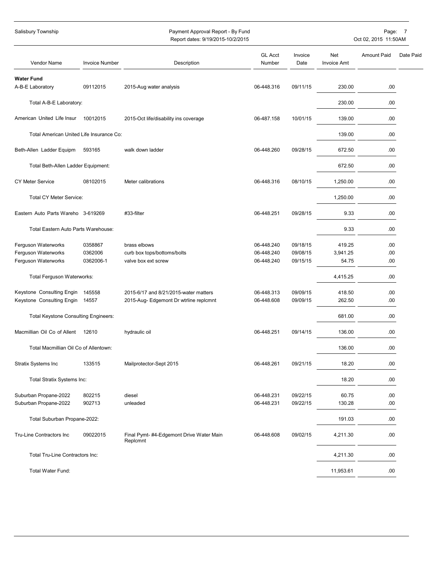| Salisbury Township<br>Payment Approval Report - By Fund<br>Report dates: 9/19/2015-10/2/2015 |                       |                                                     | Page:<br>$\overline{7}$<br>Oct 02, 2015 11:50AM |                 |                           |                    |           |
|----------------------------------------------------------------------------------------------|-----------------------|-----------------------------------------------------|-------------------------------------------------|-----------------|---------------------------|--------------------|-----------|
| Vendor Name                                                                                  | <b>Invoice Number</b> | Description                                         | <b>GL Acct</b><br>Number                        | Invoice<br>Date | Net<br><b>Invoice Amt</b> | <b>Amount Paid</b> | Date Paid |
| <b>Water Fund</b>                                                                            |                       |                                                     |                                                 |                 |                           |                    |           |
| A-B-E Laboratory                                                                             | 09112015              | 2015-Aug water analysis                             | 06-448.316                                      | 09/11/15        | 230.00                    | .00                |           |
| Total A-B-E Laboratory:                                                                      |                       |                                                     |                                                 |                 | 230.00                    | .00                |           |
| American United Life Insur                                                                   | 10012015              | 2015-Oct life/disability ins coverage               | 06-487.158                                      | 10/01/15        | 139.00                    | .00                |           |
| Total American United Life Insurance Co:                                                     |                       |                                                     |                                                 |                 | 139.00                    | .00                |           |
| Beth-Allen Ladder Equipm                                                                     | 593165                | walk down ladder                                    | 06-448.260                                      | 09/28/15        | 672.50                    | .00                |           |
| Total Beth-Allen Ladder Equipment:                                                           |                       |                                                     |                                                 |                 | 672.50                    | .00                |           |
| <b>CY Meter Service</b>                                                                      | 08102015              | Meter calibrations                                  | 06-448.316                                      | 08/10/15        | 1,250.00                  | .00                |           |
| Total CY Meter Service:                                                                      |                       |                                                     |                                                 |                 | 1,250.00                  | .00                |           |
| Eastern Auto Parts Wareho 3-619269                                                           |                       | #33-filter                                          | 06-448.251                                      | 09/28/15        | 9.33                      | .00                |           |
| Total Eastern Auto Parts Warehouse:                                                          |                       |                                                     |                                                 |                 | 9.33                      | .00                |           |
| Ferguson Waterworks                                                                          | 0358867               | brass elbows                                        | 06-448.240                                      | 09/18/15        | 419.25                    | .00                |           |
| Ferguson Waterworks                                                                          | 0362006               | curb box tops/bottoms/bolts                         | 06-448.240                                      | 09/08/15        | 3,941.25                  | .00                |           |
| Ferguson Waterworks                                                                          | 0362006-1             | valve box ext screw                                 | 06-448.240                                      | 09/15/15        | 54.75                     | .00                |           |
| Total Ferguson Waterworks:                                                                   |                       |                                                     |                                                 |                 | 4,415.25                  | .00                |           |
| Keystone Consulting Engin                                                                    | 145558                | 2015-6/17 and 8/21/2015-water matters               | 06-448.313                                      | 09/09/15        | 418.50                    | .00                |           |
| Keystone Consulting Engin                                                                    | 14557                 | 2015-Aug- Edgemont Dr wtrline replcmnt              | 06-448.608                                      | 09/09/15        | 262.50                    | .00                |           |
| Total Keystone Consulting Engineers:                                                         |                       |                                                     |                                                 |                 | 681.00                    | .00                |           |
| Macmillian Oil Co of Allent                                                                  | 12610                 | hydraulic oil                                       | 06-448.251                                      | 09/14/15        | 136.00                    | .00                |           |
| Total Macmillian Oil Co of Allentown:                                                        |                       |                                                     |                                                 |                 | 136.00                    | .00                |           |
| Stratix Systems Inc                                                                          | 133515                | Mailprotector-Sept 2015                             | 06-448.261                                      | 09/21/15        | 18.20                     | .00                |           |
| Total Stratix Systems Inc:                                                                   |                       |                                                     |                                                 |                 | 18.20                     | .00                |           |
| Suburban Propane-2022                                                                        | 802215                | diesel                                              | 06-448.231                                      | 09/22/15        | 60.75                     | .00                |           |
| Suburban Propane-2022                                                                        | 902713                | unleaded                                            | 06-448.231                                      | 09/22/15        | 130.28                    | .00                |           |
| Total Suburban Propane-2022:                                                                 |                       |                                                     |                                                 |                 | 191.03                    | .00                |           |
| Tru-Line Contractors Inc                                                                     | 09022015              | Final Pymt-#4-Edgemont Drive Water Main<br>Replcmnt | 06-448.608                                      | 09/02/15        | 4,211.30                  | .00                |           |
| Total Tru-Line Contractors Inc:                                                              |                       |                                                     |                                                 |                 | 4,211.30                  | .00                |           |
| Total Water Fund:                                                                            |                       |                                                     |                                                 |                 | 11,953.61                 | .00                |           |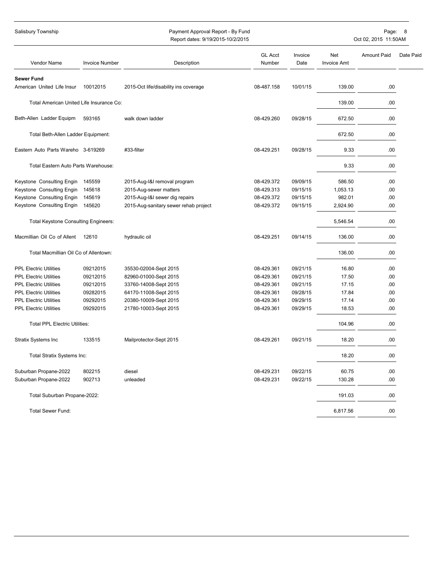| Salisbury Township                              |                       | Payment Approval Report - By Fund<br>Report dates: 9/19/2015-10/2/2015 |                          |                 |                           | Page:<br>Oct 02, 2015 11:50AM | $\boldsymbol{8}$ |
|-------------------------------------------------|-----------------------|------------------------------------------------------------------------|--------------------------|-----------------|---------------------------|-------------------------------|------------------|
| Vendor Name                                     | <b>Invoice Number</b> | Description                                                            | <b>GL Acct</b><br>Number | Invoice<br>Date | Net<br><b>Invoice Amt</b> | <b>Amount Paid</b>            | Date Paid        |
| <b>Sewer Fund</b><br>American United Life Insur | 10012015              | 2015-Oct life/disability ins coverage                                  | 08-487.158               | 10/01/15        | 139.00                    | .00                           |                  |
|                                                 |                       |                                                                        |                          |                 |                           |                               |                  |
| Total American United Life Insurance Co:        |                       |                                                                        |                          |                 | 139.00                    | .00                           |                  |
| Beth-Allen Ladder Equipm                        | 593165                | walk down ladder                                                       | 08-429.260               | 09/28/15        | 672.50                    | .00                           |                  |
| Total Beth-Allen Ladder Equipment:              |                       |                                                                        |                          |                 | 672.50                    | .00                           |                  |
| Eastern Auto Parts Wareho 3-619269              |                       | #33-filter                                                             | 08-429.251               | 09/28/15        | 9.33                      | .00                           |                  |
| Total Eastern Auto Parts Warehouse:             |                       |                                                                        |                          |                 | 9.33                      | .00                           |                  |
| Keystone Consulting Engin                       | 145559                | 2015-Aug-I&I removal program                                           | 08-429.372               | 09/09/15        | 586.50                    | .00                           |                  |
| Keystone Consulting Engin                       | 145618                | 2015-Aug-sewer matters                                                 | 08-429.313               | 09/15/15        | 1,053.13                  | .00.                          |                  |
| Keystone Consulting Engin                       | 145619                | 2015-Aug-I&I sewer dig repairs                                         | 08-429.372               | 09/15/15        | 982.01                    | .00.                          |                  |
| Keystone Consulting Engin                       | 145620                | 2015-Aug-sanitary sewer rehab project                                  | 08-429.372               | 09/15/15        | 2,924.90                  | .00                           |                  |
| <b>Total Keystone Consulting Engineers:</b>     |                       |                                                                        |                          |                 | 5,546.54                  | .00                           |                  |
| Macmillian Oil Co of Allent                     | 12610                 | hydraulic oil                                                          | 08-429.251               | 09/14/15        | 136.00                    | .00.                          |                  |
| Total Macmillian Oil Co of Allentown:           |                       |                                                                        |                          |                 | 136.00                    | .00                           |                  |
| <b>PPL Electric Utilities</b>                   | 09212015              | 35530-02004-Sept 2015                                                  | 08-429.361               | 09/21/15        | 16.80                     | .00                           |                  |
| <b>PPL Electric Utilities</b>                   | 09212015              | 82960-01000-Sept 2015                                                  | 08-429.361               | 09/21/15        | 17.50                     | .00.                          |                  |
| <b>PPL Electric Utilities</b>                   | 09212015              | 33760-14008-Sept 2015                                                  | 08-429.361               | 09/21/15        | 17.15                     | .00                           |                  |
| <b>PPL Electric Utilities</b>                   | 09282015              | 64170-11008-Sept 2015                                                  | 08-429.361               | 09/28/15        | 17.84                     | .00                           |                  |
| <b>PPL Electric Utilities</b>                   | 09292015              | 20380-10009-Sept 2015                                                  | 08-429.361               | 09/29/15        | 17.14                     | .00                           |                  |
| <b>PPL Electric Utilities</b>                   | 09292015              | 21780-10003-Sept 2015                                                  | 08-429.361               | 09/29/15        | 18.53                     | .00.                          |                  |
| <b>Total PPL Electric Utilities:</b>            |                       |                                                                        |                          |                 | 104.96                    | .00                           |                  |
| Stratix Systems Inc                             | 133515                | Mailprotector-Sept 2015                                                | 08-429.261               | 09/21/15        | 18.20                     | .00                           |                  |
| Total Stratix Systems Inc:                      |                       |                                                                        |                          |                 | 18.20                     | .00.                          |                  |
| Suburban Propane-2022                           | 802215                | diesel                                                                 | 08-429.231               | 09/22/15        | 60.75                     | .00                           |                  |
| Suburban Propane-2022                           | 902713                | unleaded                                                               | 08-429.231               | 09/22/15        | 130.28                    | .00                           |                  |
| Total Suburban Propane-2022:                    |                       |                                                                        |                          |                 | 191.03                    | .00.                          |                  |
| <b>Total Sewer Fund:</b>                        |                       |                                                                        |                          |                 | 6,817.56                  | .00.                          |                  |
|                                                 |                       |                                                                        |                          |                 |                           |                               |                  |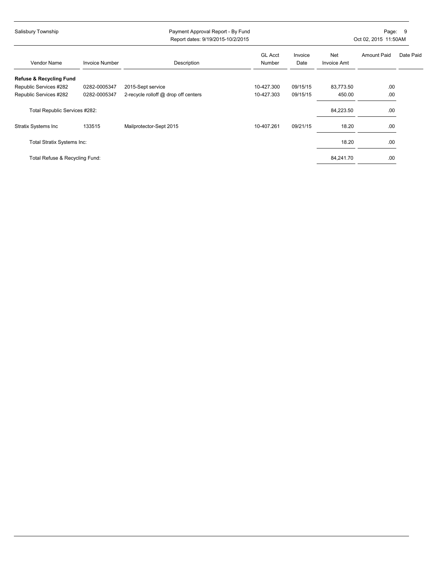| Salisbury Township                 |                       |                                      | Payment Approval Report - By Fund<br>Report dates: 9/19/2015-10/2/2015 |                 | Page:<br>-9<br>Oct 02, 2015 11:50AM |                    |           |
|------------------------------------|-----------------------|--------------------------------------|------------------------------------------------------------------------|-----------------|-------------------------------------|--------------------|-----------|
| Vendor Name                        | <b>Invoice Number</b> | Description                          | <b>GL Acct</b><br>Number                                               | Invoice<br>Date | Net<br><b>Invoice Amt</b>           | <b>Amount Paid</b> | Date Paid |
| <b>Refuse &amp; Recycling Fund</b> |                       |                                      |                                                                        |                 |                                     |                    |           |
| Republic Services #282             | 0282-0005347          | 2015-Sept service                    | 10-427.300                                                             | 09/15/15        | 83,773.50                           | .00                |           |
| Republic Services #282             | 0282-0005347          | 2-recycle rolloff @ drop off centers | 10-427.303                                                             | 09/15/15        | 450.00                              | .00                |           |
| Total Republic Services #282:      |                       |                                      |                                                                        |                 | 84,223.50                           | .00                |           |
| Stratix Systems Inc                | 133515                | Mailprotector-Sept 2015              | 10-407.261                                                             | 09/21/15        | 18.20                               | .00                |           |
| Total Stratix Systems Inc:         |                       |                                      |                                                                        |                 | 18.20                               | .00                |           |
| Total Refuse & Recycling Fund:     |                       |                                      |                                                                        |                 | 84,241.70                           | .00                |           |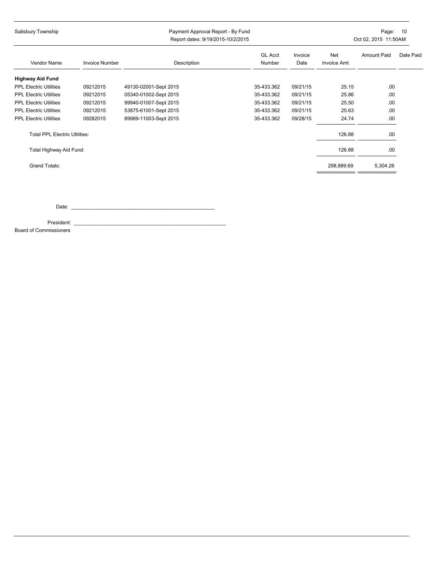| Salisbury Township                   |                       | Payment Approval Report - By Fund<br>Report dates: 9/19/2015-10/2/2015 |                          |                 | Page:<br>10<br>Oct 02, 2015 11:50AM |                    |           |
|--------------------------------------|-----------------------|------------------------------------------------------------------------|--------------------------|-----------------|-------------------------------------|--------------------|-----------|
| Vendor Name                          | <b>Invoice Number</b> | Description                                                            | <b>GL Acct</b><br>Number | Invoice<br>Date | Net<br>Invoice Amt                  | <b>Amount Paid</b> | Date Paid |
| <b>Highway Aid Fund</b>              |                       |                                                                        |                          |                 |                                     |                    |           |
| <b>PPL Electric Utilities</b>        | 09212015              | 49130-02001-Sept 2015                                                  | 35-433.362               | 09/21/15        | 25.15                               | .00                |           |
| <b>PPL Electric Utilities</b>        | 09212015              | 05340-01002-Sept 2015                                                  | 35-433.362               | 09/21/15        | 25.86                               | .00                |           |
| <b>PPL Electric Utilities</b>        | 09212015              | 99940-01007-Sept 2015                                                  | 35-433.362               | 09/21/15        | 25.50                               | .00                |           |
| <b>PPL Electric Utilities</b>        | 09212015              | 53875-61001-Sept 2015                                                  | 35-433.362               | 09/21/15        | 25.63                               | .00                |           |
| <b>PPL Electric Utilities</b>        | 09282015              | 89989-11003-Sept 2015                                                  | 35-433.362               | 09/28/15        | 24.74                               | .00                |           |
| <b>Total PPL Electric Utilities:</b> |                       |                                                                        |                          |                 | 126.88                              | .00                |           |
| Total Highway Aid Fund:              |                       |                                                                        |                          |                 | 126.88                              | .00.               |           |
| Grand Totals:                        |                       |                                                                        |                          |                 | 298,889.69                          | 5,304.26           |           |

Date: \_\_\_\_\_\_\_\_\_\_\_\_\_\_\_\_\_\_\_\_\_\_\_\_\_\_\_\_\_\_\_\_\_\_\_\_\_\_\_\_\_\_\_\_\_\_\_\_\_\_\_

President: \_\_\_\_\_\_\_\_\_\_\_\_\_\_\_\_\_\_\_\_\_\_\_\_\_\_\_\_\_\_\_\_\_\_\_\_\_\_\_\_\_\_\_\_\_\_\_\_\_\_\_\_\_\_

Board of Commissioners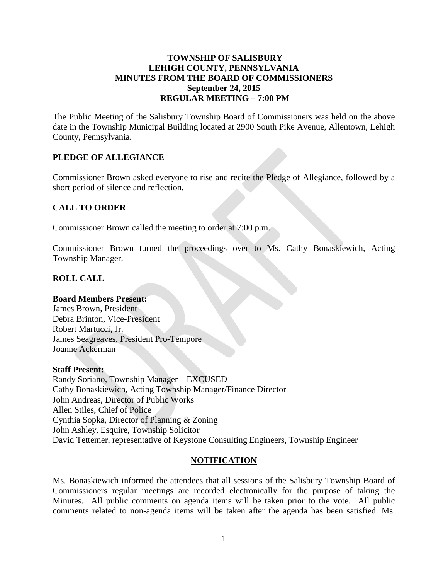### **TOWNSHIP OF SALISBURY LEHIGH COUNTY, PENNSYLVANIA MINUTES FROM THE BOARD OF COMMISSIONERS September 24, 2015 REGULAR MEETING – 7:00 PM**

<span id="page-11-0"></span>The Public Meeting of the Salisbury Township Board of Commissioners was held on the above date in the Township Municipal Building located at 2900 South Pike Avenue, Allentown, Lehigh County, Pennsylvania.

### **PLEDGE OF ALLEGIANCE**

Commissioner Brown asked everyone to rise and recite the Pledge of Allegiance, followed by a short period of silence and reflection.

#### **CALL TO ORDER**

Commissioner Brown called the meeting to order at 7:00 p.m.

Commissioner Brown turned the proceedings over to Ms. Cathy Bonaskiewich, Acting Township Manager.

### **ROLL CALL**

#### **Board Members Present:**

James Brown, President Debra Brinton, Vice-President Robert Martucci, Jr. James Seagreaves, President Pro-Tempore Joanne Ackerman

#### **Staff Present:**

Randy Soriano, Township Manager – EXCUSED Cathy Bonaskiewich, Acting Township Manager/Finance Director John Andreas, Director of Public Works Allen Stiles, Chief of Police Cynthia Sopka, Director of Planning & Zoning John Ashley, Esquire, Township Solicitor David Tettemer, representative of Keystone Consulting Engineers, Township Engineer

#### **NOTIFICATION**

Ms. Bonaskiewich informed the attendees that all sessions of the Salisbury Township Board of Commissioners regular meetings are recorded electronically for the purpose of taking the Minutes. All public comments on agenda items will be taken prior to the vote. All public comments related to non-agenda items will be taken after the agenda has been satisfied. Ms.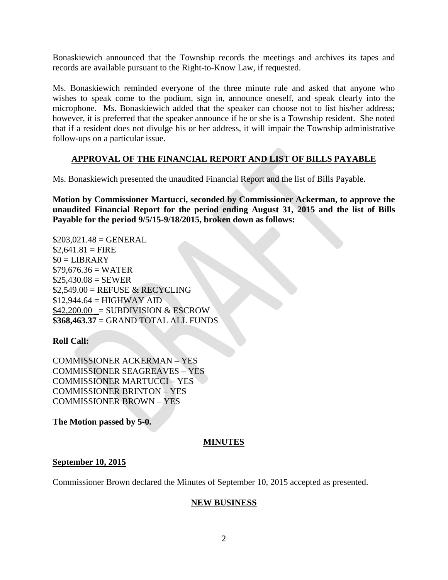Bonaskiewich announced that the Township records the meetings and archives its tapes and records are available pursuant to the Right-to-Know Law, if requested.

Ms. Bonaskiewich reminded everyone of the three minute rule and asked that anyone who wishes to speak come to the podium, sign in, announce oneself, and speak clearly into the microphone. Ms. Bonaskiewich added that the speaker can choose not to list his/her address; however, it is preferred that the speaker announce if he or she is a Township resident. She noted that if a resident does not divulge his or her address, it will impair the Township administrative follow-ups on a particular issue.

## **APPROVAL OF THE FINANCIAL REPORT AND LIST OF BILLS PAYABLE**

Ms. Bonaskiewich presented the unaudited Financial Report and the list of Bills Payable.

**Motion by Commissioner Martucci, seconded by Commissioner Ackerman, to approve the unaudited Financial Report for the period ending August 31, 2015 and the list of Bills Payable for the period 9/5/15-9/18/2015, broken down as follows:**

 $$203,021.48 = \text{GENERAL}$  $$2,641.81 =$ FIRE  $$0 = LIBRARY$  $$79,676.36 = WATER$  $$25,430.08 =$  SEWER  $$2,549.00 =$  REFUSE & RECYCLING  $$12,944.64 = HIGHWAY AID$  $$42,200.00 =$  SUBDIVISION & ESCROW **\$368,463.37** = GRAND TOTAL ALL FUNDS

### **Roll Call:**

COMMISSIONER ACKERMAN – YES COMMISSIONER SEAGREAVES – YES COMMISSIONER MARTUCCI – YES COMMISSIONER BRINTON – YES COMMISSIONER BROWN – YES

**The Motion passed by 5-0.** 

### **MINUTES**

#### **September 10, 2015**

Commissioner Brown declared the Minutes of September 10, 2015 accepted as presented.

### **NEW BUSINESS**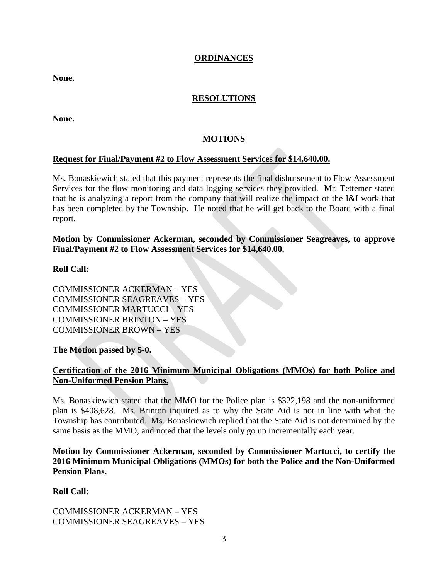### **ORDINANCES**

**None.**

## **RESOLUTIONS**

**None.**

### **MOTIONS**

#### **Request for Final/Payment #2 to Flow Assessment Services for \$14,640.00.**

Ms. Bonaskiewich stated that this payment represents the final disbursement to Flow Assessment Services for the flow monitoring and data logging services they provided. Mr. Tettemer stated that he is analyzing a report from the company that will realize the impact of the I&I work that has been completed by the Township. He noted that he will get back to the Board with a final report.

**Motion by Commissioner Ackerman, seconded by Commissioner Seagreaves, to approve Final/Payment #2 to Flow Assessment Services for \$14,640.00.**

#### **Roll Call:**

COMMISSIONER ACKERMAN – YES COMMISSIONER SEAGREAVES – YES COMMISSIONER MARTUCCI – YES COMMISSIONER BRINTON – YES COMMISSIONER BROWN – YES

**The Motion passed by 5-0.** 

### **Certification of the 2016 Minimum Municipal Obligations (MMOs) for both Police and Non-Uniformed Pension Plans.**

Ms. Bonaskiewich stated that the MMO for the Police plan is \$322,198 and the non-uniformed plan is \$408,628. Ms. Brinton inquired as to why the State Aid is not in line with what the Township has contributed. Ms. Bonaskiewich replied that the State Aid is not determined by the same basis as the MMO, and noted that the levels only go up incrementally each year.

**Motion by Commissioner Ackerman, seconded by Commissioner Martucci, to certify the 2016 Minimum Municipal Obligations (MMOs) for both the Police and the Non-Uniformed Pension Plans.**

**Roll Call:** 

COMMISSIONER ACKERMAN – YES COMMISSIONER SEAGREAVES – YES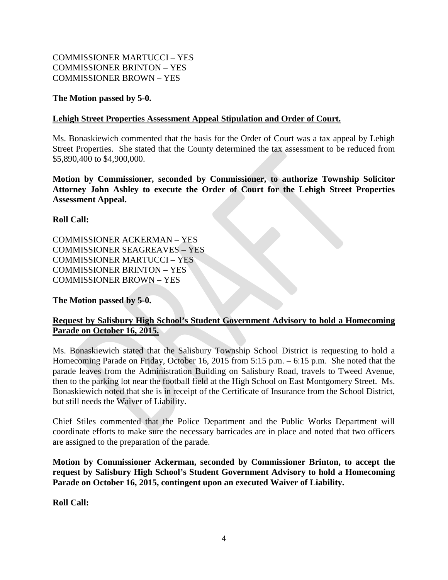### COMMISSIONER MARTUCCI – YES COMMISSIONER BRINTON – YES COMMISSIONER BROWN – YES

#### **The Motion passed by 5-0.**

#### **Lehigh Street Properties Assessment Appeal Stipulation and Order of Court.**

Ms. Bonaskiewich commented that the basis for the Order of Court was a tax appeal by Lehigh Street Properties. She stated that the County determined the tax assessment to be reduced from \$5,890,400 to \$4,900,000.

**Motion by Commissioner, seconded by Commissioner, to authorize Township Solicitor Attorney John Ashley to execute the Order of Court for the Lehigh Street Properties Assessment Appeal.**

**Roll Call:** 

COMMISSIONER ACKERMAN – YES COMMISSIONER SEAGREAVES – YES COMMISSIONER MARTUCCI – YES COMMISSIONER BRINTON – YES COMMISSIONER BROWN – YES

**The Motion passed by 5-0.** 

## **Request by Salisbury High School's Student Government Advisory to hold a Homecoming Parade on October 16, 2015.**

Ms. Bonaskiewich stated that the Salisbury Township School District is requesting to hold a Homecoming Parade on Friday, October 16, 2015 from 5:15 p.m. – 6:15 p.m. She noted that the parade leaves from the Administration Building on Salisbury Road, travels to Tweed Avenue, then to the parking lot near the football field at the High School on East Montgomery Street. Ms. Bonaskiewich noted that she is in receipt of the Certificate of Insurance from the School District, but still needs the Waiver of Liability.

Chief Stiles commented that the Police Department and the Public Works Department will coordinate efforts to make sure the necessary barricades are in place and noted that two officers are assigned to the preparation of the parade.

**Motion by Commissioner Ackerman, seconded by Commissioner Brinton, to accept the request by Salisbury High School's Student Government Advisory to hold a Homecoming Parade on October 16, 2015, contingent upon an executed Waiver of Liability.**

**Roll Call:**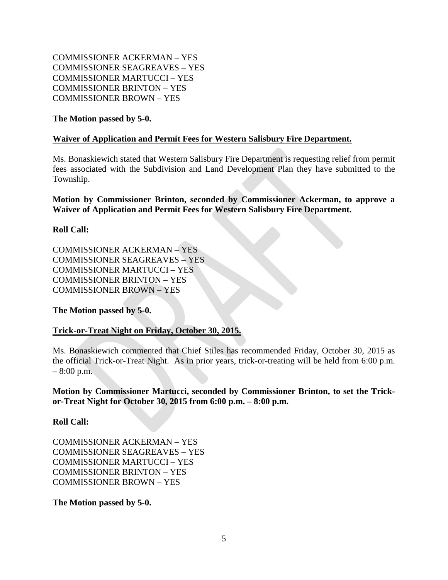COMMISSIONER ACKERMAN – YES COMMISSIONER SEAGREAVES – YES COMMISSIONER MARTUCCI – YES COMMISSIONER BRINTON – YES COMMISSIONER BROWN – YES

### **The Motion passed by 5-0.**

### **Waiver of Application and Permit Fees for Western Salisbury Fire Department.**

Ms. Bonaskiewich stated that Western Salisbury Fire Department is requesting relief from permit fees associated with the Subdivision and Land Development Plan they have submitted to the Township.

**Motion by Commissioner Brinton, seconded by Commissioner Ackerman, to approve a Waiver of Application and Permit Fees for Western Salisbury Fire Department.**

### **Roll Call:**

COMMISSIONER ACKERMAN – YES COMMISSIONER SEAGREAVES – YES COMMISSIONER MARTUCCI – YES COMMISSIONER BRINTON – YES COMMISSIONER BROWN – YES

**The Motion passed by 5-0.** 

### **Trick-or-Treat Night on Friday, October 30, 2015.**

Ms. Bonaskiewich commented that Chief Stiles has recommended Friday, October 30, 2015 as the official Trick-or-Treat Night. As in prior years, trick-or-treating will be held from 6:00 p.m.  $-8:00$  p.m.

**Motion by Commissioner Martucci, seconded by Commissioner Brinton, to set the Trickor-Treat Night for October 30, 2015 from 6:00 p.m. – 8:00 p.m.**

#### **Roll Call:**

COMMISSIONER ACKERMAN – YES COMMISSIONER SEAGREAVES – YES COMMISSIONER MARTUCCI – YES COMMISSIONER BRINTON – YES COMMISSIONER BROWN – YES

**The Motion passed by 5-0.**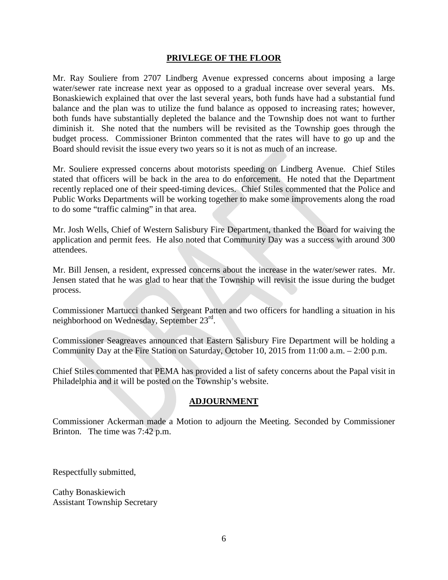#### **PRIVLEGE OF THE FLOOR**

Mr. Ray Souliere from 2707 Lindberg Avenue expressed concerns about imposing a large water/sewer rate increase next year as opposed to a gradual increase over several years. Ms. Bonaskiewich explained that over the last several years, both funds have had a substantial fund balance and the plan was to utilize the fund balance as opposed to increasing rates; however, both funds have substantially depleted the balance and the Township does not want to further diminish it. She noted that the numbers will be revisited as the Township goes through the budget process. Commissioner Brinton commented that the rates will have to go up and the Board should revisit the issue every two years so it is not as much of an increase.

Mr. Souliere expressed concerns about motorists speeding on Lindberg Avenue. Chief Stiles stated that officers will be back in the area to do enforcement. He noted that the Department recently replaced one of their speed-timing devices. Chief Stiles commented that the Police and Public Works Departments will be working together to make some improvements along the road to do some "traffic calming" in that area.

Mr. Josh Wells, Chief of Western Salisbury Fire Department, thanked the Board for waiving the application and permit fees. He also noted that Community Day was a success with around 300 attendees.

Mr. Bill Jensen, a resident, expressed concerns about the increase in the water/sewer rates. Mr. Jensen stated that he was glad to hear that the Township will revisit the issue during the budget process.

Commissioner Martucci thanked Sergeant Patten and two officers for handling a situation in his neighborhood on Wednesday, September 23rd.

Commissioner Seagreaves announced that Eastern Salisbury Fire Department will be holding a Community Day at the Fire Station on Saturday, October 10, 2015 from 11:00 a.m. – 2:00 p.m.

Chief Stiles commented that PEMA has provided a list of safety concerns about the Papal visit in Philadelphia and it will be posted on the Township's website.

### **ADJOURNMENT**

Commissioner Ackerman made a Motion to adjourn the Meeting. Seconded by Commissioner Brinton. The time was 7:42 p.m.

Respectfully submitted,

Cathy Bonaskiewich Assistant Township Secretary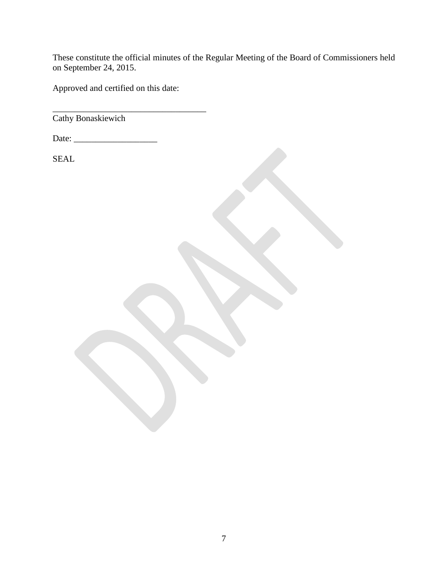These constitute the official minutes of the Regular Meeting of the Board of Commissioners held on September 24, 2015.

Approved and certified on this date:

\_\_\_\_\_\_\_\_\_\_\_\_\_\_\_\_\_\_\_\_\_\_\_\_\_\_\_\_\_\_\_\_\_\_\_ Cathy Bonaskiewich

Date: \_\_\_\_\_\_\_\_\_\_\_\_\_\_\_\_\_\_\_

SEAL